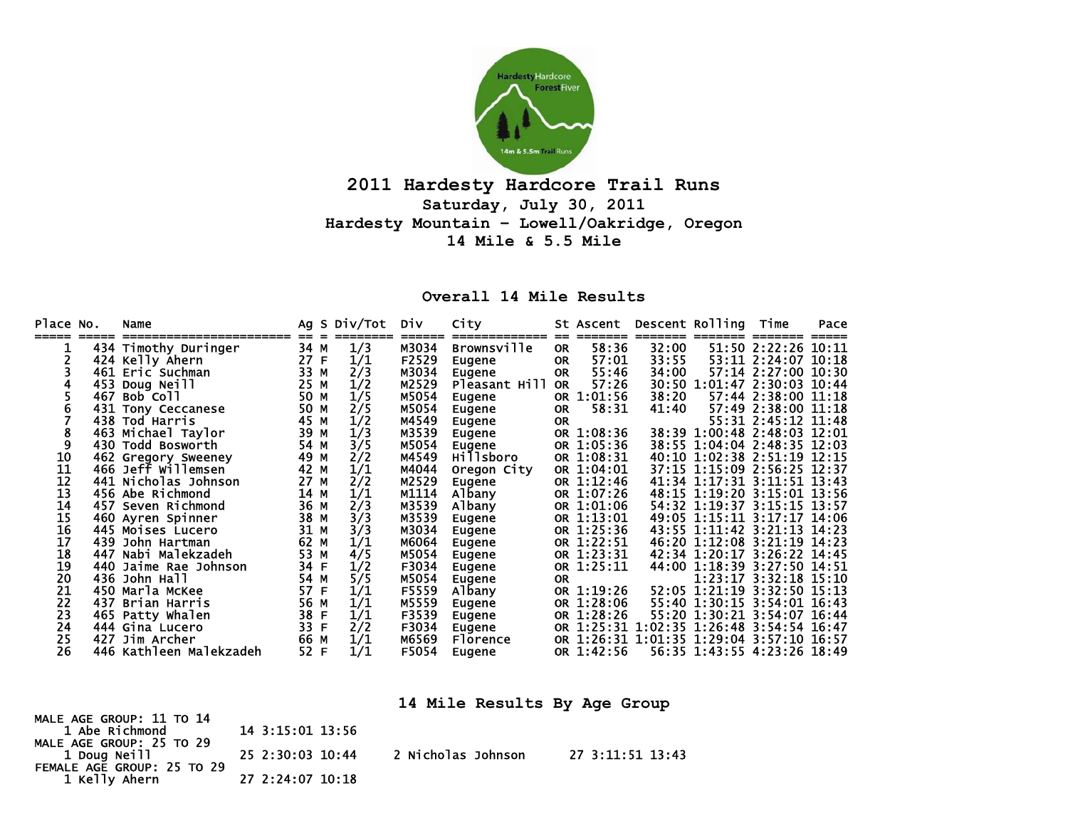

## **2011 Hardesty Hardcore Trail Runs Saturday, July 30, 2011 Hardesty Mountain – Lowell/Oakridge, Oregon 14 Mile & 5.5 Mile**

## **Overall 14 Mile Results**

| Place No.       |     | Name                    |      |   | Ag S Div/Tot | <b>Div</b> | City               |           | <b>St Ascent</b> | Descent Rolling                          |                             | Time                  | Pace |
|-----------------|-----|-------------------------|------|---|--------------|------------|--------------------|-----------|------------------|------------------------------------------|-----------------------------|-----------------------|------|
|                 |     |                         |      |   |              |            |                    |           |                  |                                          |                             |                       |      |
|                 |     | 434 Timothy Duringer    | 34 M |   | 1/3          | M3034      | <b>Brownsville</b> | <b>OR</b> | 58:36            | 32:00                                    |                             | 51:50 2:22:26 10:11   |      |
|                 |     | 424 Kelly Ahern         | 27   | E | 1/1          | F2529      | Eugene             | <b>OR</b> | 57:01            | 33:55                                    |                             | 53:11 2:24:07 10:18   |      |
|                 |     | 461 Eric Suchman        | 33 M |   | 2/3          | M3034      | Eugene             | <b>OR</b> | 55:46            | 34:00                                    |                             | 57:14 2:27:00 10:30   |      |
|                 |     | 453 Doug Neill          | 25 M |   | 1/2          | M2529      | Pleasant Hill      | OR        | 57:26            |                                          | 30:50 1:01:47 2:30:03 10:44 |                       |      |
|                 | 467 | Bob Coll                | 50 M |   | 1/5          | M5054      | Eugene             | <b>OR</b> | 1:01:56          | 38:20                                    |                             | 57:44 2:38:00 11:18   |      |
| 6               |     | 431 Tony Ceccanese      | 50   | M | 2/5          | M5054      | Eugene             | <b>OR</b> | 58:31            | 41:40                                    |                             | 57:49 2:38:00 11:18   |      |
|                 |     | 438 Tod Harris          | 45 M |   | 1/2          | M4549      | Eugene             | <b>OR</b> |                  |                                          |                             | 55:31 2:45:12 11:48   |      |
| 8               |     | 463 Michael Taylor      | 39   | M | 1/3          | M3539      | Eugene             |           | OR 1:08:36       |                                          | 38:39 1:00:48 2:48:03 12:01 |                       |      |
| 9               |     | 430 Todd Bosworth       | 54   | М | 3/5          | M5054      | Eugene             |           | OR 1:05:36       |                                          | 38:55 1:04:04 2:48:35 12:03 |                       |      |
| 10              |     | 462 Gregory Sweeney     | 49 M |   | 2/2          | M4549      | Hillsboro          |           | OR 1:08:31       |                                          | 40:10 1:02:38 2:51:19 12:15 |                       |      |
| $\overline{11}$ |     | 466 Jeff Willemsen      | 42   | м | 1/1          | M4044      | Oregon City        |           | OR 1:04:01       |                                          | 37:15 1:15:09 2:56:25 12:37 |                       |      |
| 12              |     | 441 Nicholas Johnson    | 27   | М | 2/2          | M2529      | Eugene             |           | OR 1:12:46       |                                          | 41:34 1:17:31 3:11:51 13:43 |                       |      |
| 13              |     | 456 Abe Richmond        | 14 M |   | 1/1          | M1114      | Albany             |           | OR 1:07:26       |                                          | 48:15 1:19:20 3:15:01 13:56 |                       |      |
| 14              |     | 457 Seven Richmond      | 36 M |   | 2/3          | M3539      | Albany             |           | OR 1:01:06       |                                          | 54:32 1:19:37 3:15:15 13:57 |                       |      |
| 15              |     | 460 Ayren Spinner       | 38 M |   | 3/3          | M3539      | Eugene             |           | OR 1:13:01       |                                          | 49:05 1:15:11 3:17:17 14:06 |                       |      |
| 16              |     | 445 Moises Lucero       | 31 M |   | 3/3          | M3034      | Eugene             |           | OR 1:25:36       |                                          | 43:55 1:11:42 3:21:13 14:23 |                       |      |
| 17              | 439 | John Hartman            | 62   | M | 1/1          | M6064      | Eugene             |           | OR 1:22:51       |                                          | 46:20 1:12:08 3:21:19 14:23 |                       |      |
| 18              |     | 447 Nabi Malekzadeh     | 53 M |   | 4/5          | M5054      | Eugene             |           | OR 1:23:31       |                                          | 42:34 1:20:17 3:26:22 14:45 |                       |      |
| 19              |     | 440 Jaime Rae Johnson   | 34   | F | 1/2          | F3034      | Eugene             |           | OR 1:25:11       |                                          | 44:00 1:18:39 3:27:50 14:51 |                       |      |
| $\overline{20}$ |     | 436 John Hall           | 54   | M | 5/5          | M5054      | Eugene             | <b>OR</b> |                  |                                          |                             | 1:23:17 3:32:18 15:10 |      |
| 21              |     | 450 Marla McKee         | 57   | F | 1/1          | F5559      | Albany             |           | OR 1:19:26       |                                          | 52:05 1:21:19 3:32:50 15:13 |                       |      |
| 22              | 437 | Brian Harris            | 56 M |   | 1/1          | M5559      |                    |           | OR 1:28:06       |                                          | 55:40 1:30:15 3:54:01 16:43 |                       |      |
| 23              |     |                         | 38 F |   | 1/1          | F3539      | Eugene             |           | OR 1:28:26       |                                          | 55:20 1:30:21 3:54:07 16:44 |                       |      |
| 24              |     | 465 Patty Whalen        | 33 F |   |              |            | Eugene             |           |                  |                                          |                             |                       |      |
|                 |     | 444 Gina Lucero         |      |   | 2/2          | F3034      | Eugene             |           |                  | OR 1:25:31 1:02:35 1:26:48 3:54:54 16:47 |                             |                       |      |
| 25              | 427 | Jim Archer              | 66 M |   | 1/1          | M6569      | Florence           |           |                  | OR 1:26:31 1:01:35 1:29:04 3:57:10 16:57 |                             |                       |      |
| 26              |     | 446 Kathleen Malekzadeh | 52 F |   | 1/1          | F5054      | Eugene             |           | OR 1:42:56       |                                          | 56:35 1:43:55 4:23:26 18:49 |                       |      |

**14 Mile Results By Age Group** 

MALE AGE GROUP: 11 TO 14 1 Abe Richmond 14 3:15:01 13:56 MALE AGE GROUP: 25 TO 29 1 Doug Neill 25 2:30:03 10:44 2 Nicholas Johnson 27 3:11:51 13:43 FEMALE AGE GROUP: 25 TO 29 1 Kelly Ahern 27 2:24:07 10:18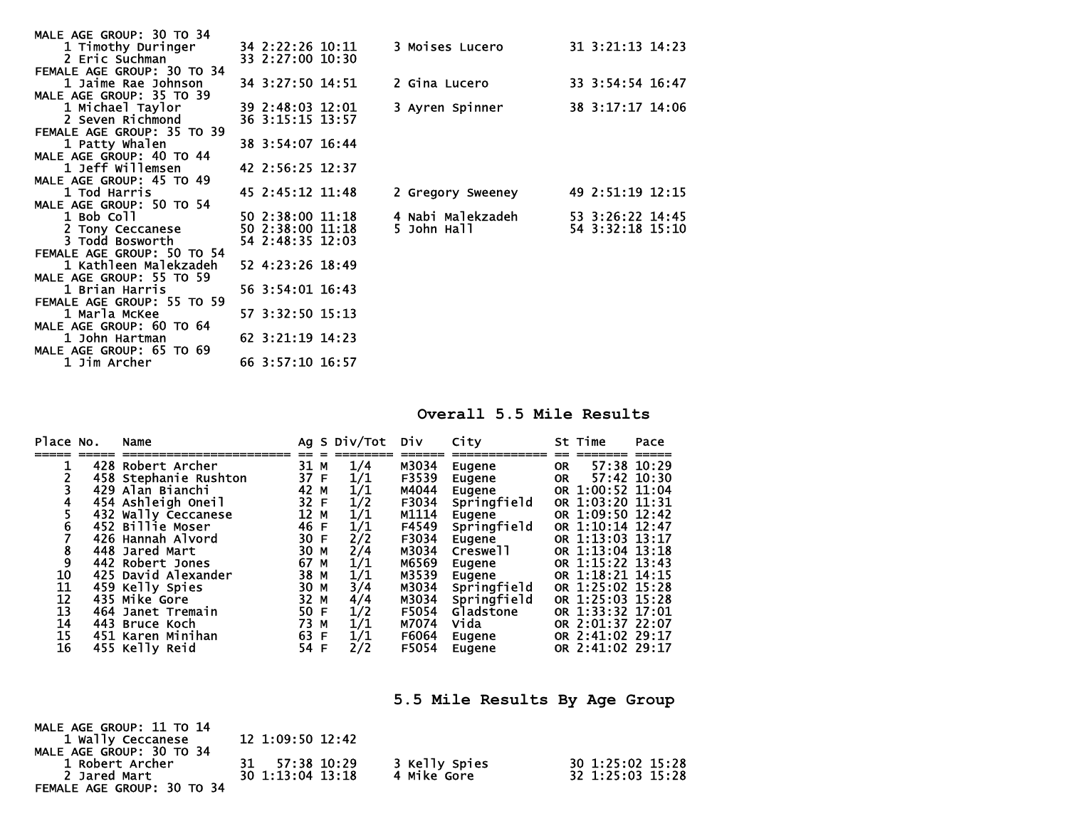| MALE AGE GROUP: 30 TO 34   |                  |                        |                  |
|----------------------------|------------------|------------------------|------------------|
| 1 Timothy Duringer         | 34 2:22:26 10:11 | <b>3 Moises Lucero</b> | 31 3:21:13 14:23 |
| 2 Eric Suchman             | 33 2:27:00 10:30 |                        |                  |
| FEMALE AGE GROUP: 30 TO 34 |                  |                        |                  |
| 1 Jaime Rae Johnson        | 34 3:27:50 14:51 | 2 Gina Lucero          | 33 3:54:54 16:47 |
| MALE AGE GROUP: 35 TO 39   |                  |                        |                  |
| 1 Michael Taylor           | 39 2:48:03 12:01 | 3 Ayren Spinner        | 38 3:17:17 14:06 |
| 2 Seven Richmond           | 36 3:15:15 13:57 |                        |                  |
| FEMALE AGE GROUP: 35 TO 39 |                  |                        |                  |
| 1 Patty Whalen             | 38 3:54:07 16:44 |                        |                  |
| MALE AGE GROUP: 40 TO 44   |                  |                        |                  |
| 1 Jeff Willemsen           | 42 2:56:25 12:37 |                        |                  |
| MALE AGE GROUP: 45 TO 49   |                  |                        |                  |
| 1 Tod Harris               | 45 2:45:12 11:48 | 2 Gregory Sweeney      | 49 2:51:19 12:15 |
| MALE AGE GROUP: 50 TO 54   |                  |                        |                  |
| 1 Bob Coll                 | 50 2:38:00 11:18 | 4 Nabi Malekzadeh      | 53 3:26:22 14:45 |
| 2 Tony Ceccanese           | 50 2:38:00 11:18 | 5 John Hall            | 54 3:32:18 15:10 |
| 3 Todd Bosworth            | 54 2:48:35 12:03 |                        |                  |
| FEMALE AGE GROUP: 50 TO 54 |                  |                        |                  |
| 1 Kathleen Malekzadeh      | 52 4:23:26 18:49 |                        |                  |
| MALE AGE GROUP: 55 TO 59   |                  |                        |                  |
| 1 Brian Harris             | 56 3:54:01 16:43 |                        |                  |
| FEMALE AGE GROUP: 55 TO 59 |                  |                        |                  |
| 1 Marla McKee              | 57 3:32:50 15:13 |                        |                  |
| MALE AGE GROUP: 60 TO 64   |                  |                        |                  |
| 1 John Hartman             | 62 3:21:19 14:23 |                        |                  |
| MALE AGE GROUP: 65 TO 69   |                  |                        |                  |
| 1 Jim Archer               | 66 3:57:10 16:57 |                        |                  |

**Overall 5.5 Mile Results** 

| Place No.      | Name                  |      |   | Ag S Div/Tot Div            |       | City        |           | St Time          | Pace |
|----------------|-----------------------|------|---|-----------------------------|-------|-------------|-----------|------------------|------|
|                | 428 Robert Archer     | 31 M |   | 1/4                         | M3034 | Eugene      | <b>OR</b> | 57:38 10:29      |      |
|                | 458 Stephanie Rushton | 37 F |   | 1/1                         | F3539 | Eugene      | 0R        | 57:42 10:30      |      |
|                | 429 Alan Bianchi      | 42 M |   | 1/1                         | M4044 | Eugene      |           | OR 1:00:52 11:04 |      |
| 4              | 454 Ashleigh Oneil    | 32 F |   | 1/2                         | F3034 | Springfield |           | OR 1:03:20 11:31 |      |
|                | 432 Wally Ceccanese   | 12 M |   | 1/1                         | M1114 | Eugene      |           | OR 1:09:50 12:42 |      |
| $\overline{6}$ | 452 Billie Moser      | 46 F |   | 1/1                         | F4549 | Springfield |           | OR 1:10:14 12:47 |      |
|                | 426 Hannah Alvord     | 30 F |   | $\overline{2}/\overline{2}$ | F3034 | Eugene      |           | OR 1:13:03 13:17 |      |
| $\frac{8}{9}$  | 448 Jared Mart        | 30 M |   | 2/4                         | M3034 | Creswell    |           | OR 1:13:04 13:18 |      |
|                | 442 Robert Jones      | 67   | M | 1/1                         | M6569 | Eugene      |           | OR 1:15:22 13:43 |      |
| 10             | 425 David Alexander   | 38 M |   | 1/1                         | M3539 | Eugene      |           | OR 1:18:21 14:15 |      |
| 11             | 459 Kelly Spies       | 30 M |   | 3/4                         | M3034 | Springfield |           | OR 1:25:02 15:28 |      |
| 12             | 435 Mike Gore         | 32 M |   | 4/4                         | M3034 | Springfield |           | OR 1:25:03 15:28 |      |
| 13             | 464 Janet Tremain     | 50 F |   | 1/2                         | F5054 | Gladstone   |           | OR 1:33:32 17:01 |      |
| 14             | 443 Bruce Koch        | 73 M |   | 1/1                         | M7074 | Vida        |           | OR 2:01:37 22:07 |      |
| 15             | 451 Karen Minihan     | 63 F |   | 1/1                         | F6064 | Eugene      |           | OR 2:41:02 29:17 |      |
| 16             | 455 Kelly Reid        | 54 F |   | 2/2                         | F5054 | Eugene      |           | OR 2:41:02 29:17 |      |

**5.5 Mile Results By Age Group** 

| MALE AGE GROUP: 11 TO 14   |                  |               |                  |
|----------------------------|------------------|---------------|------------------|
| 1 Wally Ceccanese          | 12 1:09:50 12:42 |               |                  |
| MALE AGE GROUP: 30 TO 34   |                  |               |                  |
| 1 Robert Archer            | 31 57:38 10:29   | 3 Kelly Spies | 30 1:25:02 15:28 |
| 2 Jared Mart               | 30 1:13:04 13:18 | 4 Mike Gore   | 32 1:25:03 15:28 |
| FEMALE AGE GROUP: 30 TO 34 |                  |               |                  |